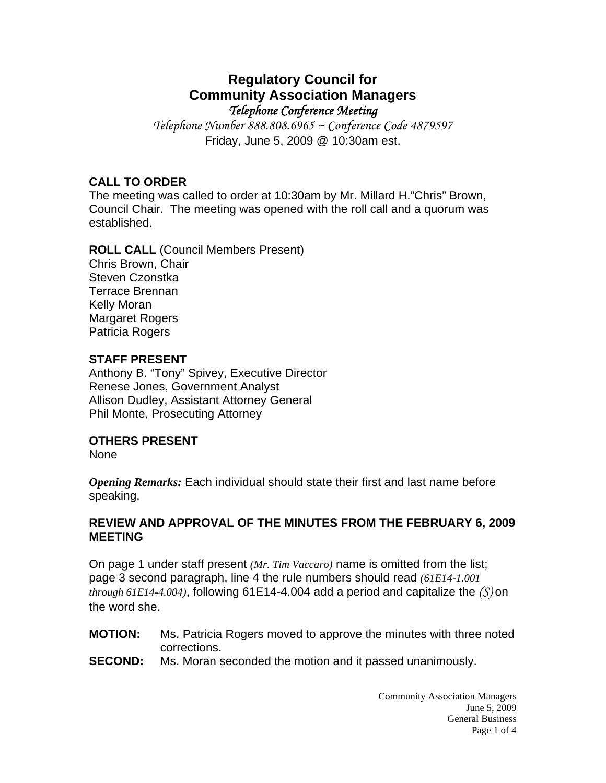# **Regulatory Council for Community Association Managers**  *Telephone Conference Meeting*

*Telephone Number 888.808.6965 ~ Conference Code 4879597* Friday, June 5, 2009 @ 10:30am est.

# **CALL TO ORDER**

The meeting was called to order at 10:30am by Mr. Millard H."Chris" Brown, Council Chair. The meeting was opened with the roll call and a quorum was established.

**ROLL CALL** (Council Members Present) Chris Brown, Chair Steven Czonstka Terrace Brennan Kelly Moran Margaret Rogers Patricia Rogers

## **STAFF PRESENT**

Anthony B. "Tony" Spivey, Executive Director Renese Jones, Government Analyst Allison Dudley, Assistant Attorney General Phil Monte, Prosecuting Attorney

# **OTHERS PRESENT**

None

*Opening Remarks:* Each individual should state their first and last name before speaking.

## **REVIEW AND APPROVAL OF THE MINUTES FROM THE FEBRUARY 6, 2009 MEETING**

On page 1 under staff present *(Mr. Tim Vaccaro)* name is omitted from the list; page 3 second paragraph, line 4 the rule numbers should read *(61E14-1.001 through 61E14-4.004)*, following 61E14-4.004 add a period and capitalize the *(S)* on the word she.

- **MOTION:** Ms. Patricia Rogers moved to approve the minutes with three noted corrections.
- **SECOND:** Ms. Moran seconded the motion and it passed unanimously.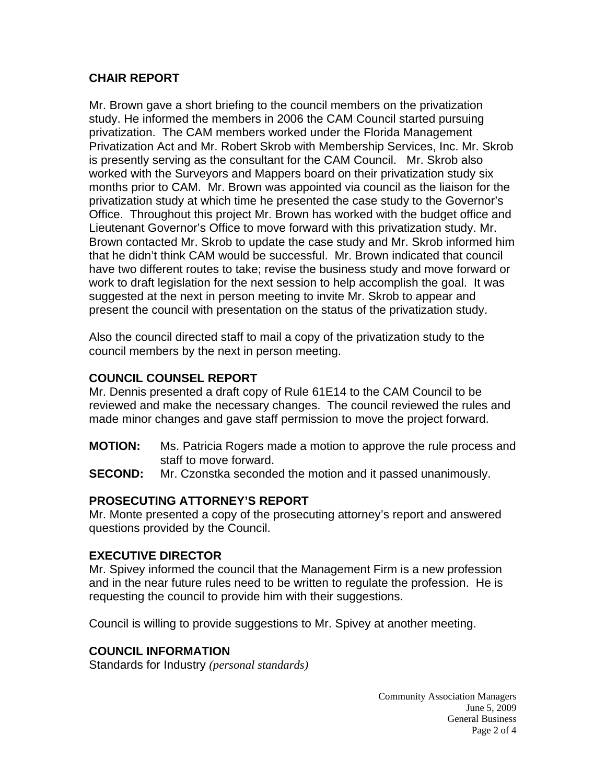# **CHAIR REPORT**

Mr. Brown gave a short briefing to the council members on the privatization study. He informed the members in 2006 the CAM Council started pursuing privatization. The CAM members worked under the Florida Management Privatization Act and Mr. Robert Skrob with Membership Services, Inc. Mr. Skrob is presently serving as the consultant for the CAM Council. Mr. Skrob also worked with the Surveyors and Mappers board on their privatization study six months prior to CAM. Mr. Brown was appointed via council as the liaison for the privatization study at which time he presented the case study to the Governor's Office. Throughout this project Mr. Brown has worked with the budget office and Lieutenant Governor's Office to move forward with this privatization study. Mr. Brown contacted Mr. Skrob to update the case study and Mr. Skrob informed him that he didn't think CAM would be successful. Mr. Brown indicated that council have two different routes to take; revise the business study and move forward or work to draft legislation for the next session to help accomplish the goal. It was suggested at the next in person meeting to invite Mr. Skrob to appear and present the council with presentation on the status of the privatization study.

Also the council directed staff to mail a copy of the privatization study to the council members by the next in person meeting.

# **COUNCIL COUNSEL REPORT**

Mr. Dennis presented a draft copy of Rule 61E14 to the CAM Council to be reviewed and make the necessary changes. The council reviewed the rules and made minor changes and gave staff permission to move the project forward.

- **MOTION:** Ms. Patricia Rogers made a motion to approve the rule process and staff to move forward.
- **SECOND:** Mr. Czonstka seconded the motion and it passed unanimously.

# **PROSECUTING ATTORNEY'S REPORT**

Mr. Monte presented a copy of the prosecuting attorney's report and answered questions provided by the Council.

## **EXECUTIVE DIRECTOR**

Mr. Spivey informed the council that the Management Firm is a new profession and in the near future rules need to be written to regulate the profession. He is requesting the council to provide him with their suggestions.

Council is willing to provide suggestions to Mr. Spivey at another meeting.

## **COUNCIL INFORMATION**

Standards for Industry *(personal standards)*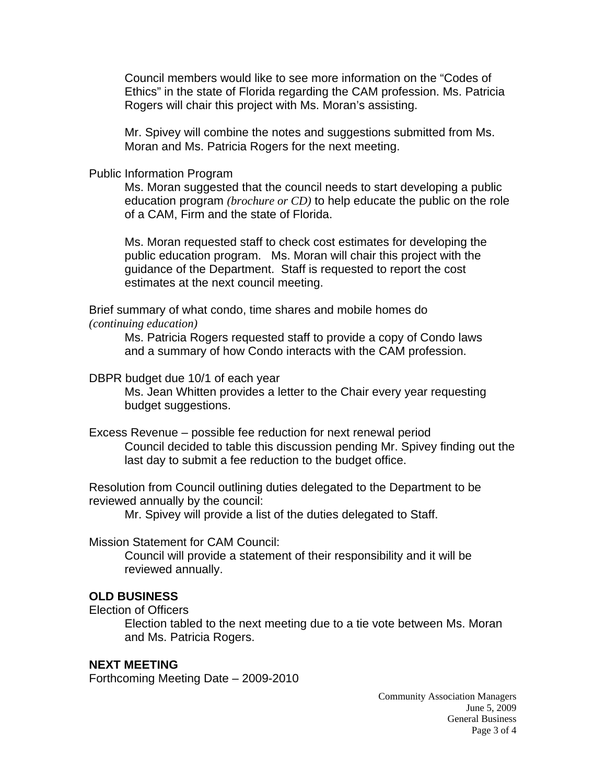Council members would like to see more information on the "Codes of Ethics" in the state of Florida regarding the CAM profession. Ms. Patricia Rogers will chair this project with Ms. Moran's assisting.

 Mr. Spivey will combine the notes and suggestions submitted from Ms. Moran and Ms. Patricia Rogers for the next meeting.

#### Public Information Program

 Ms. Moran suggested that the council needs to start developing a public education program *(brochure or CD)* to help educate the public on the role of a CAM, Firm and the state of Florida.

 Ms. Moran requested staff to check cost estimates for developing the public education program. Ms. Moran will chair this project with the guidance of the Department. Staff is requested to report the cost estimates at the next council meeting.

Brief summary of what condo, time shares and mobile homes do *(continuing education)* 

> Ms. Patricia Rogers requested staff to provide a copy of Condo laws and a summary of how Condo interacts with the CAM profession.

#### DBPR budget due 10/1 of each year

 Ms. Jean Whitten provides a letter to the Chair every year requesting budget suggestions.

#### Excess Revenue – possible fee reduction for next renewal period Council decided to table this discussion pending Mr. Spivey finding out the last day to submit a fee reduction to the budget office.

Resolution from Council outlining duties delegated to the Department to be reviewed annually by the council:

Mr. Spivey will provide a list of the duties delegated to Staff.

#### Mission Statement for CAM Council:

 Council will provide a statement of their responsibility and it will be reviewed annually.

#### **OLD BUSINESS**

Election of Officers

 Election tabled to the next meeting due to a tie vote between Ms. Moran and Ms. Patricia Rogers.

#### **NEXT MEETING**

Forthcoming Meeting Date – 2009-2010

Community Association Managers June 5, 2009 General Business Page 3 of 4